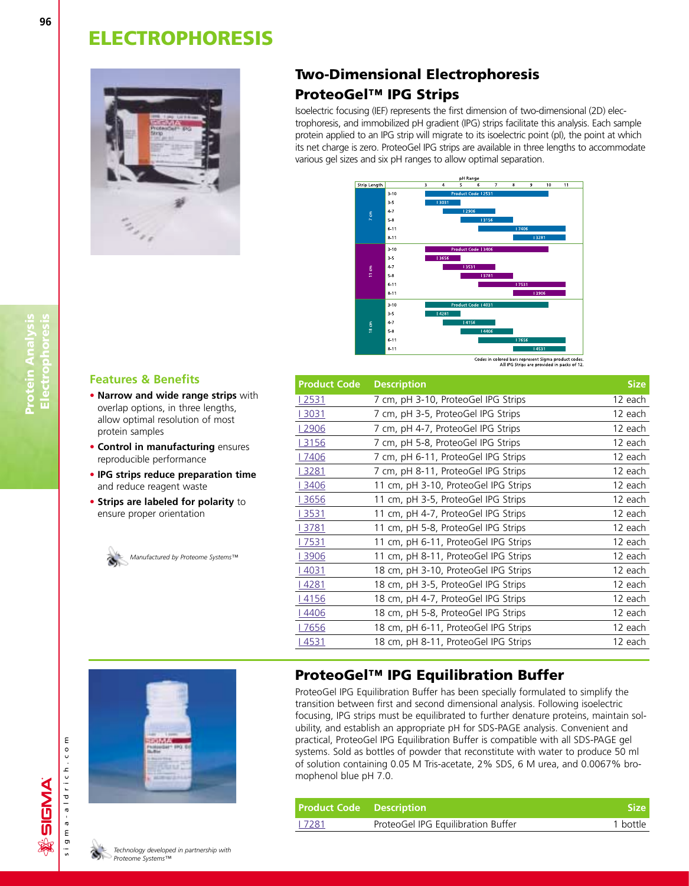

## **Two-Dimensional Electrophoresis ProteoGel™ IPG Strips**

Isoelectric focusing (IEF) represents the first dimension of two-dimensional (2D) electrophoresis, and immobilized pH gradient (IPG) strips facilitate this analysis. Each sample protein applied to an IPG strip will migrate to its isoelectric point (pI), the point at which its net charge is zero. ProteoGel IPG strips are available in three lengths to accommodate various gel sizes and six pH ranges to allow optimal separation.



#### Codes in colored bars represent Sigma product codes.<br>All IPG Strips are provided in packs of 12.

| <b>Product Code</b> | <b>Description</b>                   |         |  |  |  |
|---------------------|--------------------------------------|---------|--|--|--|
| 2531                | 7 cm, pH 3-10, ProteoGel IPG Strips  | 12 each |  |  |  |
| l 3031              | 7 cm, pH 3-5, ProteoGel IPG Strips   | 12 each |  |  |  |
| l 2906              | 7 cm, pH 4-7, ProteoGel IPG Strips   | 12 each |  |  |  |
| l 3156              | 7 cm, pH 5-8, ProteoGel IPG Strips   | 12 each |  |  |  |
| l 7406              | 7 cm, pH 6-11, ProteoGel IPG Strips  | 12 each |  |  |  |
| l 3281              | 7 cm, pH 8-11, ProteoGel IPG Strips  | 12 each |  |  |  |
| l 3406              | 11 cm, pH 3-10, ProteoGel IPG Strips | 12 each |  |  |  |
| l 3656              | 11 cm, pH 3-5, ProteoGel IPG Strips  | 12 each |  |  |  |
| l 3531              | 11 cm, pH 4-7, ProteoGel IPG Strips  | 12 each |  |  |  |
| l 3781              | 11 cm, pH 5-8, ProteoGel IPG Strips  | 12 each |  |  |  |
| l 7531              | 11 cm, pH 6-11, ProteoGel IPG Strips | 12 each |  |  |  |
| l 3906              | 11 cm, pH 8-11, ProteoGel IPG Strips | 12 each |  |  |  |
| l 4031              | 18 cm, pH 3-10, ProteoGel IPG Strips | 12 each |  |  |  |
| l 4281              | 18 cm, pH 3-5, ProteoGel IPG Strips  | 12 each |  |  |  |
| l 4156              | 18 cm, pH 4-7, ProteoGel IPG Strips  | 12 each |  |  |  |
| 4406                | 18 cm, pH 5-8, ProteoGel IPG Strips  | 12 each |  |  |  |
| 7656                | 18 cm, pH 6-11, ProteoGel IPG Strips | 12 each |  |  |  |
| <u>l 4531</u>       | 18 cm, pH 8-11, ProteoGel IPG Strips | 12 each |  |  |  |

### **ProteoGel™ IPG Equilibration Buffer**

ProteoGel IPG Equilibration Buffer has been specially formulated to simplify the transition between first and second dimensional analysis. Following isoelectric focusing, IPG strips must be equilibrated to further denature proteins, maintain solubility, and establish an appropriate pH for SDS-PAGE analysis. Convenient and practical, ProteoGel IPG Equilibration Buffer is compatible with all SDS-PAGE gel systems. Sold as bottles of powder that reconstitute with water to produce 50 ml of solution containing 0.05 M Tris-acetate, 2% SDS, 6 M urea, and 0.0067% bromophenol blue pH 7.0.

| <b>Product Code Description</b> |                                    | <b>Size</b> |
|---------------------------------|------------------------------------|-------------|
| 7281                            | ProteoGel IPG Equilibration Buffer | 1 bottle    |

#### **Features & Benefits**

- **• Narrow and wide range strips** with overlap options, in three lengths, allow optimal resolution of most protein samples
- **• Control in manufacturing** ensures reproducible performance
- **• IPG strips reduce preparation time** and reduce reagent waste
- **• Strips are labeled for polarity** to ensure proper orientation

*Manufactured by Proteome Systems™*

**Protein Analysis Electrophoresis**

Protein Analysis<br>Electrophoresis

可否仿

sigma-aldrich.com

sigma-aldrich.co

ξ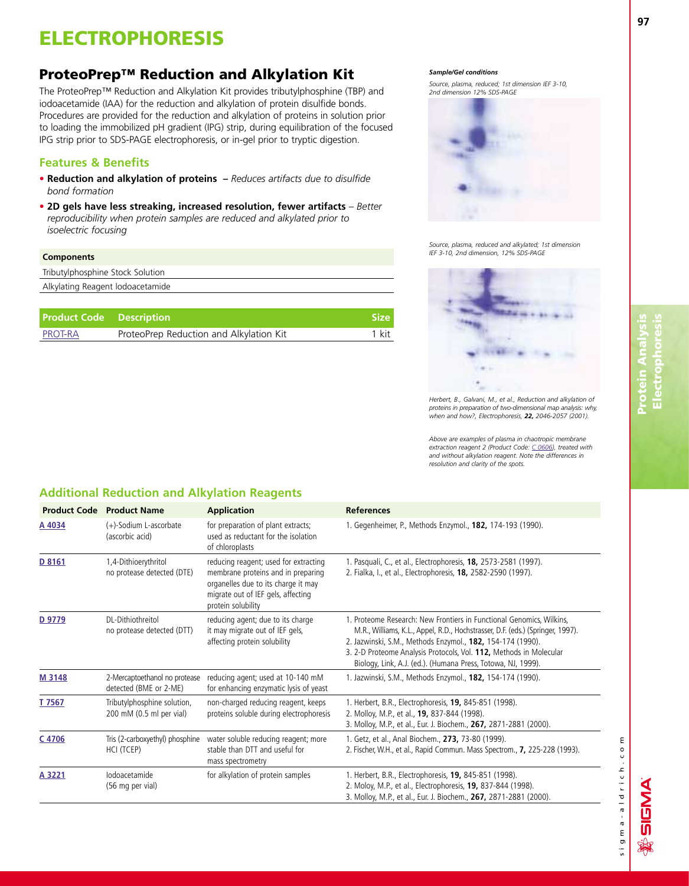## **ProteoPrep™ Reduction and Alkylation Kit**

The ProteoPrep™ Reduction and Alkylation Kit provides tributylphosphine (TBP) and iodoacetamide (IAA) for the reduction and alkylation of protein disulfide bonds. Procedures are provided for the reduction and alkylation of proteins in solution prior to loading the immobilized pH gradient (IPG) strip, during equilibration of the focused IPG strip prior to SDS-PAGE electrophoresis, or in-gel prior to tryptic digestion.

### **Features & Benefits**

- **• Reduction and alkylation of proteins** *Reduces artifacts due to disulfide bond formation*
- **• 2D gels have less streaking, increased resolution, fewer artifacts**  *Better reproducibility when protein samples are reduced and alkylated prior to isoelectric focusing*

#### **Components**

| Tributylphosphine Stock Solution |  |
|----------------------------------|--|
| Alkylating Reagent lodoacetamide |  |

| <b>Product Code</b> Description |                                         | <b>Size</b> |
|---------------------------------|-----------------------------------------|-------------|
| PROT-RA                         | ProteoPrep Reduction and Alkylation Kit | 1 kit       |

#### *Sample/Gel conditions*

*Source, plasma, reduced; 1st dimension IEF 3-10, 2nd dimension 12% SDS-PAGE*



*Source, plasma, reduced and alkylated; 1st dimension IEF 3-10, 2nd dimension, 12% SDS-PAGE*



*Herbert, B., Galvani, M., et al., Reduction and alkylation of proteins in preparation of two-dimensional map analysis: why, when and how?, Electrophoresis, 22, 2046-2057 (2001).*

*Above are examples of plasma in chaotropic membrane extraction reagent 2 (Product Code: [C 0606\),](http://www.sigma-aldrich.com/ProductLookup.html?ProdNo=C0606&Brand=SIGMA) treated with and without alkylation reagent. Note the differences in resolution and clarity of the spots.*

### **Additional Reduction and Alkylation Reagents**

|        | <b>Product Code Product Name</b>                        | <b>Application</b>                                                                                                                                                             | <b>References</b>                                                                                                                                                                                                                                                                                                                                          |
|--------|---------------------------------------------------------|--------------------------------------------------------------------------------------------------------------------------------------------------------------------------------|------------------------------------------------------------------------------------------------------------------------------------------------------------------------------------------------------------------------------------------------------------------------------------------------------------------------------------------------------------|
| A 4034 | (+)-Sodium L-ascorbate<br>(ascorbic acid)               | for preparation of plant extracts;<br>used as reductant for the isolation<br>of chloroplasts                                                                                   | 1. Gegenheimer, P., Methods Enzymol., 182, 174-193 (1990).                                                                                                                                                                                                                                                                                                 |
| D 8161 | 1,4-Dithioerythritol<br>no protease detected (DTE)      | reducing reagent; used for extracting<br>membrane proteins and in preparing<br>organelles due to its charge it may<br>migrate out of IEF gels, affecting<br>protein solubility | 1. Pasquali, C., et al., Electrophoresis, <b>18,</b> 2573-2581 (1997).<br>2. Fialka, I., et al., Electrophoresis, 18, 2582-2590 (1997).                                                                                                                                                                                                                    |
| D 9779 | DL-Dithiothreitol<br>no protease detected (DTT)         | reducing agent; due to its charge<br>it may migrate out of IEF gels,<br>affecting protein solubility                                                                           | 1. Proteome Research: New Frontiers in Functional Genomics, Wilkins,<br>M.R., Williams, K.L., Appel, R.D., Hochstrasser, D.F. (eds.) (Springer, 1997).<br>2. Jazwinski, S.M., Methods Enzymol., 182, 154-174 (1990).<br>3. 2-D Proteome Analysis Protocols, Vol. 112, Methods in Molecular<br>Biology, Link, A.J. (ed.). (Humana Press, Totowa, NJ, 1999). |
| M 3148 | 2-Mercaptoethanol no protease<br>detected (BME or 2-ME) | reducing agent; used at 10-140 mM<br>for enhancing enzymatic lysis of yeast                                                                                                    | 1. Jazwinski, S.M., Methods Enzymol., 182, 154-174 (1990).                                                                                                                                                                                                                                                                                                 |
| T 7567 | Tributylphosphine solution,<br>200 mM (0.5 ml per vial) | non-charged reducing reagent, keeps<br>proteins soluble during electrophoresis                                                                                                 | 1. Herbert, B.R., Electrophoresis, 19, 845-851 (1998).<br>2. Molloy, M.P., et al., 19, 837-844 (1998).<br>3. Molloy, M.P., et al., Eur. J. Biochem., 267, 2871-2881 (2000).                                                                                                                                                                                |
| C 4706 | Tris (2-carboxyethyl) phosphine<br>HCI (TCEP)           | water soluble reducing reagent; more<br>stable than DTT and useful for<br>mass spectrometry                                                                                    | 1. Getz, et al., Anal Biochem., 273, 73-80 (1999).<br>2. Fischer, W.H., et al., Rapid Commun. Mass Spectrom., 7, 225-228 (1993).                                                                                                                                                                                                                           |
| A 3221 | lodoacetamide<br>(56 mg per vial)                       | for alkylation of protein samples                                                                                                                                              | 1. Herbert, B.R., Electrophoresis, 19, 845-851 (1998).<br>2. Moloy, M.P., et al., Electrophoresis, 19, 837-844 (1998).<br>3. Molloy, M.P., et al., Eur. J. Biochem., 267, 2871-2881 (2000).                                                                                                                                                                |

# **Protein Analysis Electrophoresis** Electroph

**ANSIS** 

sigma-aldrich.com

sigma-aldrich.com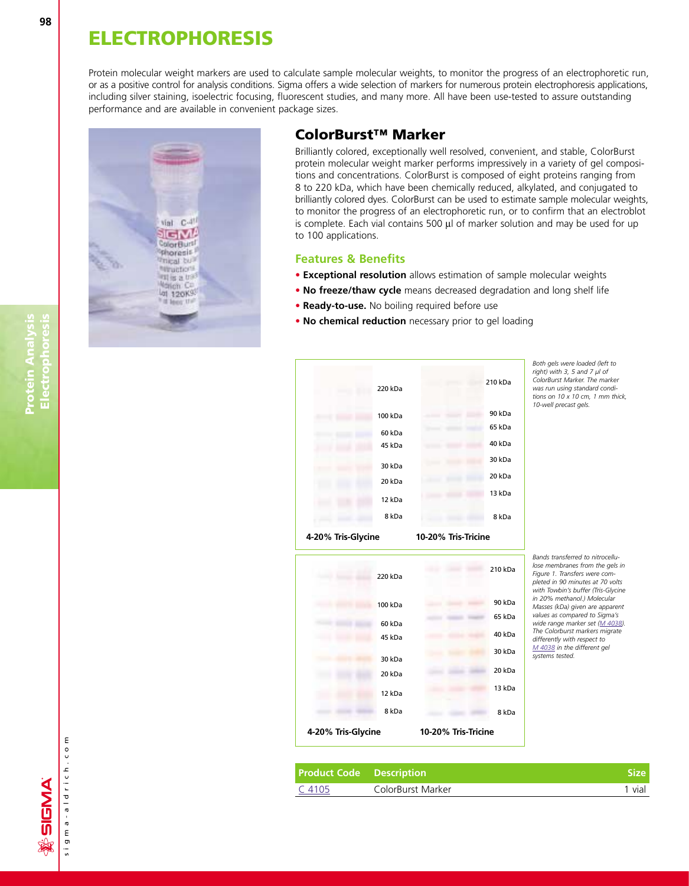Protein molecular weight markers are used to calculate sample molecular weights, to monitor the progress of an electrophoretic run, or as a positive control for analysis conditions. Sigma offers a wide selection of markers for numerous protein electrophoresis applications, including silver staining, isoelectric focusing, fluorescent studies, and many more. All have been use-tested to assure outstanding performance and are available in convenient package sizes.



### **ColorBurst™ Marker**

Brilliantly colored, exceptionally well resolved, convenient, and stable, ColorBurst protein molecular weight marker performs impressively in a variety of gel compositions and concentrations. ColorBurst is composed of eight proteins ranging from 8 to 220 kDa, which have been chemically reduced, alkylated, and conjugated to brilliantly colored dyes. ColorBurst can be used to estimate sample molecular weights, to monitor the progress of an electrophoretic run, or to confirm that an electroblot is complete. Each vial contains 500  $\mu$ l of marker solution and may be used for up to 100 applications.

#### **Features & Benefits**

- **• Exceptional resolution** allows estimation of sample molecular weights
- **• No freeze/thaw cycle** means decreased degradation and long shelf life
- **• Ready-to-use.** No boiling required before use
- **• No chemical reduction** necessary prior to gel loading



*Both gels were loaded (left to right) with 3, 5 and 7 µl of ColorBurst Marker. The marker was run using standard conditions on 10 x 10 cm, 1 mm thick, 10-well precast gels.*

*Bands transferred to nitrocellulose membranes from the gels in Figure 1. Transfers were completed in 90 minutes at 70 volts with Towbin's buffer (Tris-Glycine in 20% methanol.) Molecular Masses (kDa) given are apparent values as compared to Sigma's wide range marker set [\(M 4038\).](http://www.sigma-aldrich.com/ProductLookup.html?ProdNo=M4038&Brand=SIGMA) The Colorburst markers migrate differently with respect to [M 4038](http://www.sigma-aldrich.com/ProductLookup.html?ProdNo=M4038&Brand=SIGMA) in the different gel systems tested.*

| <b>Product Code</b> Description |                   | Size |
|---------------------------------|-------------------|------|
| C 4105                          | ColorBurst Marker | vial |

**ANG** 

ົທ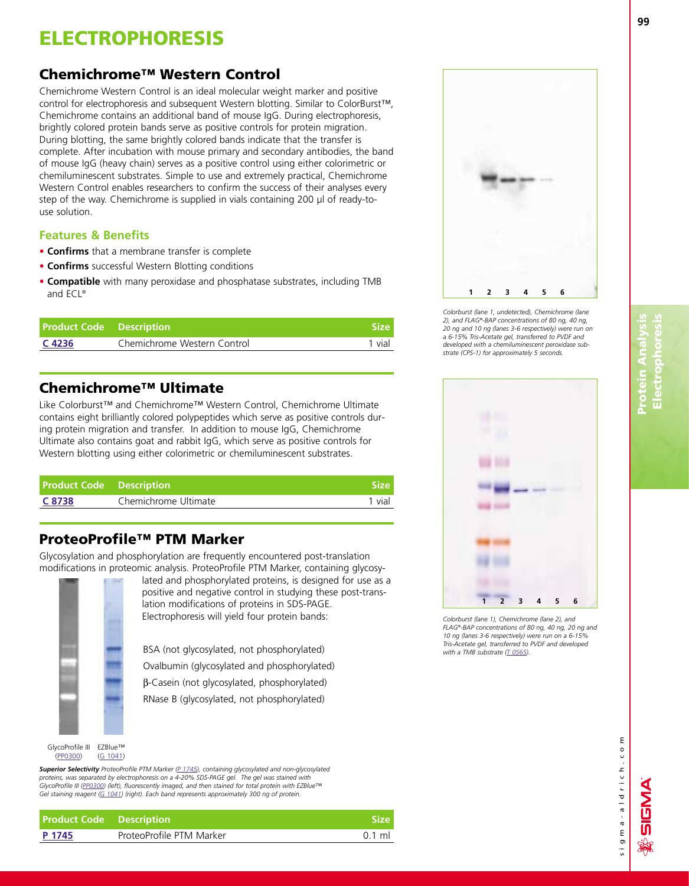## **Chemichrome™ Western Control**

Chemichrome Western Control is an ideal molecular weight marker and positive control for electrophoresis and subsequent Western blotting. Similar to ColorBurst™, Chemichrome contains an additional band of mouse IgG. During electrophoresis, brightly colored protein bands serve as positive controls for protein migration. During blotting, the same brightly colored bands indicate that the transfer is complete. After incubation with mouse primary and secondary antibodies, the band of mouse IgG (heavy chain) serves as a positive control using either colorimetric or chemiluminescent substrates. Simple to use and extremely practical, Chemichrome Western Control enables researchers to confirm the success of their analyses every step of the way. Chemichrome is supplied in vials containing 200 µl of ready-touse solution.

### **Features & Benefits**

- **• Confirms** that a membrane transfer is complete
- **• Confirms** successful Western Blotting conditions
- **• Compatible** with many peroxidase and phosphatase substrates, including TMB and ECL®

| <b>Product Code</b> Description |                             | <b>Size</b> |
|---------------------------------|-----------------------------|-------------|
| C 4236                          | Chemichrome Western Control | 1 vial      |

## **Chemichrome™ Ultimate**

Like Colorburst™ and Chemichrome™ Western Control, Chemichrome Ultimate contains eight brilliantly colored polypeptides which serve as positive controls during protein migration and transfer. In addition to mouse IgG, Chemichrome Ultimate also contains goat and rabbit IgG, which serve as positive controls for Western blotting using either colorimetric or chemiluminescent substrates.

| <b>Product Code Description</b> |                      | <b>Size</b> I |
|---------------------------------|----------------------|---------------|
| C 8738                          | Chemichrome Ultimate | 1 vial        |

## **ProteoProfile™ PTM Marker**

Glycosylation and phosphorylation are frequently encountered post-translation modifications in proteomic analysis. ProteoProfile PTM Marker, containing glycosy-



lated and phosphorylated proteins, is designed for use as a positive and negative control in studying these post-translation modifications of proteins in SDS-PAGE. Electrophoresis will yield four protein bands:

BSA (not glycosylated, not phosphorylated)

Ovalbumin (glycosylated and phosphorylated)

b-Casein (not glycosylated, phosphorylated)

RNase B (glycosylated, not phosphorylated)

**Superior Selectivity** ProteoProfile PTM Marker [\(P 1745\),](http://www.sigma-aldrich.com/ProductLookup.html?ProdNo=P1745&Brand=SIGMA) containing glycosylated and non-glycosylated *proteins, was separated by electrophoresis on a 4-20% SDS-PAGE gel. The gel was stained with GlycoProfile III [\(PP0300\)](http://www.sigma-aldrich.com/ProductLookup.html?ProdNo=PP0300&Brand=SIGMA) (left), fluorescently imaged, and then stained for total protein with EZBlue™ Gel staining reagent [\(G 1041\) \(](http://www.sigma-aldrich.com/ProductLookup.html?ProdNo=G1041&Brand=SIGMA)right). Each band represents approximately 300 ng of protein.*

**Product Code Description Size [P 1745](http://www.sigma-aldrich.com/ProductLookup.html?ProdNo=P1745&Brand=SIGMA)** ProteoProfile PTM Marker **Proteined Accord PTM Marker P1745** 0.1 ml

**1 2 3 4 5 6**

*Colorburst (lane 1, undetected), Chemichrome (lane 2), and FLAG®-BAP concentrations of 80 ng, 40 ng, 20 ng and 10 ng (lanes 3-6 respectively) were run on a 6-15% Tris-Acetate gel, transferred to PVDF and developed with a chemiluminescent peroxidase substrate (CPS-1) for approximately 5 seconds.*



*Colorburst (lane 1), Chemichrome (lane 2), and FLAG®-BAP concentrations of 80 ng, 40 ng, 20 ng and 10 ng (lanes 3-6 respectively) were run on a 6-15% Tris-Acetate gel, transferred to PVDF and developed with a TMB substrat[e \(T 0565\).](http://www.sigma-aldrich.com/ProductLookup.html?ProdNo=T0565&Brand=SIGMA)*

៣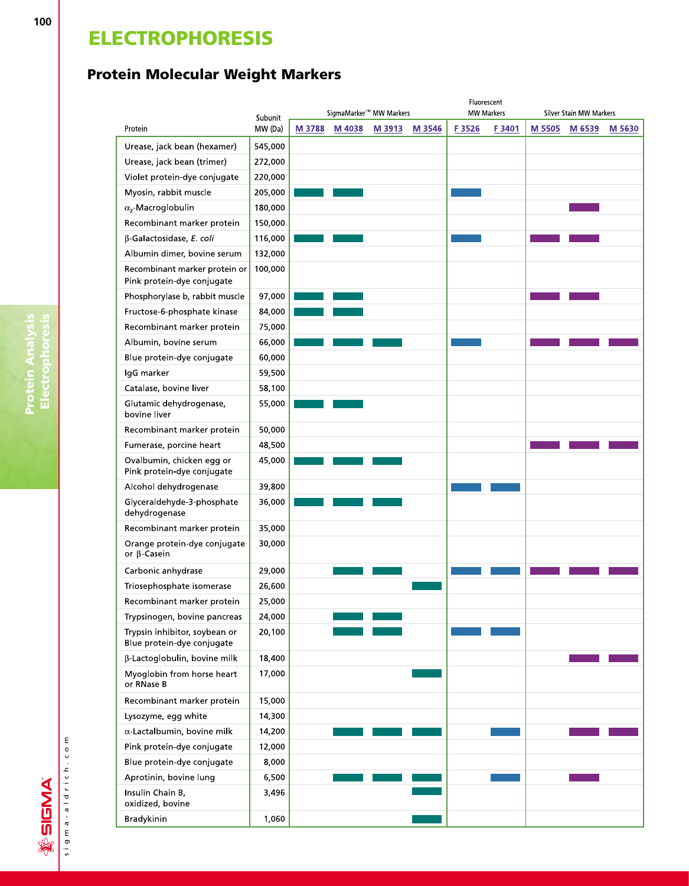## **Protein Molecular Weight Markers**

|                                                             | Subunit |        |        | SigmaMarker™ MW Markers |        |       | Fluorescent<br><b>MW Markers</b> |        | Silver Stain MW Markers |        |
|-------------------------------------------------------------|---------|--------|--------|-------------------------|--------|-------|----------------------------------|--------|-------------------------|--------|
| Protein                                                     | MW (Da) | M 3788 | M 4038 | M 3913                  | M 3546 | F3526 | F3401                            | M 5505 | M 6539                  | M 5630 |
| Urease, jack bean (hexamer)                                 | 545,000 |        |        |                         |        |       |                                  |        |                         |        |
| Urease, jack bean (trimer)                                  | 272,000 |        |        |                         |        |       |                                  |        |                         |        |
| Violet protein-dye conjugate                                | 220,000 |        |        |                         |        |       |                                  |        |                         |        |
| Myosin, rabbit muscle                                       | 205,000 |        |        |                         |        |       |                                  |        |                         |        |
| $\alpha$ <sub>2</sub> -Macroglobulin                        | 180,000 |        |        |                         |        |       |                                  |        |                         |        |
| Recombinant marker protein                                  | 150,000 |        |        |                         |        |       |                                  |        |                         |        |
| β-Galactosidase, E. coli                                    | 116,000 |        |        |                         |        |       |                                  |        |                         |        |
| Albumin dimer, bovine serum                                 | 132,000 |        |        |                         |        |       |                                  |        |                         |        |
| Recombinant marker protein or<br>Pink protein-dye conjugate | 100,000 |        |        |                         |        |       |                                  |        |                         |        |
| Phosphorylase b, rabbit muscle                              | 97,000  |        |        |                         |        |       |                                  |        |                         |        |
| Fructose-6-phosphate kinase                                 | 84,000  |        |        |                         |        |       |                                  |        |                         |        |
| Recombinant marker protein                                  | 75,000  |        |        |                         |        |       |                                  |        |                         |        |
| Albumin, bovine serum                                       | 66,000  |        |        |                         |        |       |                                  |        |                         |        |
| Blue protein-dye conjugate                                  | 60,000  |        |        |                         |        |       |                                  |        |                         |        |
| IgG marker                                                  | 59,500  |        |        |                         |        |       |                                  |        |                         |        |
| Catalase, bovine liver                                      | 58,100  |        |        |                         |        |       |                                  |        |                         |        |
| Glutamic dehydrogenase,<br>bovine liver                     | 55,000  |        |        |                         |        |       |                                  |        |                         |        |
| Recombinant marker protein                                  | 50,000  |        |        |                         |        |       |                                  |        |                         |        |
| Fumerase, porcine heart                                     | 48,500  |        |        |                         |        |       |                                  |        |                         |        |
| Ovalbumin, chicken egg or<br>Pink protein-dye conjugate     | 45,000  |        |        |                         |        |       |                                  |        |                         |        |
| Alcohol dehydrogenase                                       | 39,800  |        |        |                         |        |       |                                  |        |                         |        |
| Glyceraldehyde-3-phosphate<br>dehydrogenase                 | 36,000  |        |        |                         |        |       |                                  |        |                         |        |
| Recombinant marker protein                                  | 35,000  |        |        |                         |        |       |                                  |        |                         |        |
| Orange protein-dye conjugate<br>or $\beta$ -Casein          | 30,000  |        |        |                         |        |       |                                  |        |                         |        |
| Carbonic anhydrase                                          | 29,000  |        |        |                         |        |       |                                  |        |                         |        |
| Triosephosphate isomerase                                   | 26,600  |        |        |                         |        |       |                                  |        |                         |        |
| Recombinant marker protein                                  | 25,000  |        |        |                         |        |       |                                  |        |                         |        |
| Trypsinogen, bovine pancreas                                | 24,000  |        |        |                         |        |       |                                  |        |                         |        |
| Trypsin inhibitor, soybean or<br>Blue protein-dye conjugate | 20,100  |        |        |                         |        |       |                                  |        |                         |        |
| β-Lactoglobulin, bovine milk                                | 18,400  |        |        |                         |        |       |                                  |        |                         |        |
| Myoglobin from horse heart<br>or RNase B                    | 17,000  |        |        |                         |        |       |                                  |        |                         |        |
| Recombinant marker protein                                  | 15,000  |        |        |                         |        |       |                                  |        |                         |        |
| Lysozyme, egg white                                         | 14,300  |        |        |                         |        |       |                                  |        |                         |        |
| $\alpha$ -Lactalbumin, bovine milk                          | 14,200  |        |        |                         |        |       |                                  |        |                         |        |
| Pink protein-dye conjugate                                  | 12,000  |        |        |                         |        |       |                                  |        |                         |        |
| Blue protein-dye conjugate                                  | 8,000   |        |        |                         |        |       |                                  |        |                         |        |
| Aprotinin, bovine lung                                      | 6,500   |        |        |                         |        |       |                                  |        |                         |        |
| Insulin Chain B,<br>oxidized, bovine                        | 3,496   |        |        |                         |        |       |                                  |        |                         |        |
| Bradykinin                                                  | 1,060   |        |        |                         |        |       |                                  |        |                         |        |

sigma-aldrich.com sigma-aldrich.com **※SIGMA**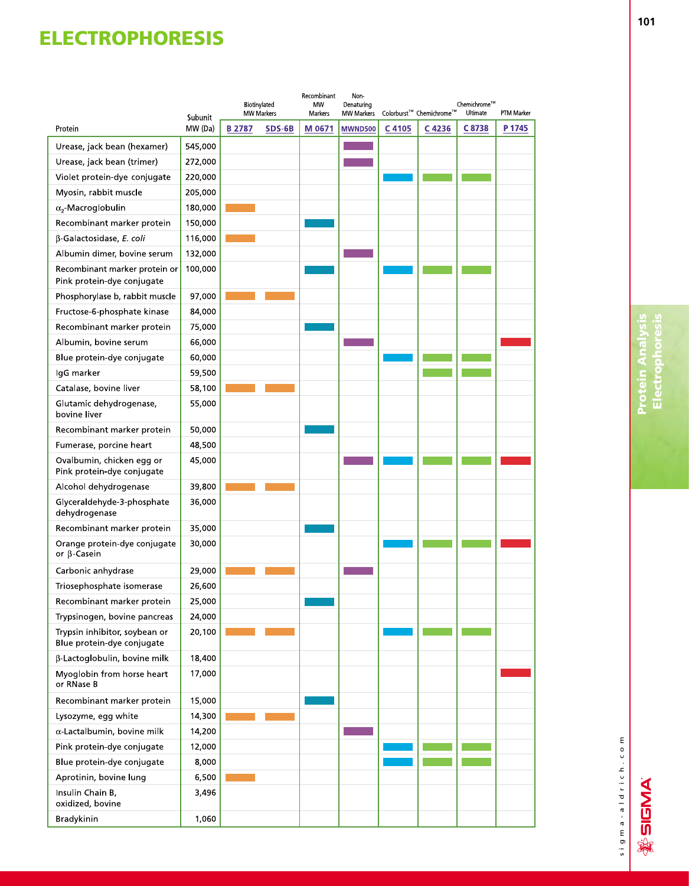| Colorburst™ Chemichrome™<br><b>MW Markers</b><br>Ultimate<br>PTM Marker<br>Markers<br><b>MW Markers</b><br>Subunit<br>MW (Da)<br>C 4105<br><b>B2787</b><br>SDS-6B<br>M 0671<br><b>MWND500</b><br>C4236<br>C8738<br>P 1745<br>Protein<br>545,000<br>Urease, jack bean (hexamer)<br>272,000<br>Urease, jack bean (trimer)<br>Violet protein-dye conjugate<br>220,000<br>205,000<br>Myosin, rabbit muscle<br>180,000<br>$\alpha$ <sub>2</sub> Macroglobulin<br>Recombinant marker protein<br>150,000<br>116,000<br>β-Galactosidase, E. coli<br>Albumin dimer, bovine serum<br>132,000<br>100,000<br>Recombinant marker protein or<br>Pink protein-dye conjugate<br>97,000<br>Phosphorylase b, rabbit muscle<br>84,000<br>Fructose-6-phosphate kinase<br>75,000<br>Recombinant marker protein<br>66,000<br>Albumin, bovine serum<br>60,000<br>Blue protein-dye conjugate<br>59,500<br>IgG marker<br>58,100<br>Catalase, bovine liver<br>Glutamic dehydrogenase,<br>55,000<br>bovine liver<br>Recombinant marker protein<br>50,000<br>48,500<br>Fumerase, porcine heart<br>Ovalbumin, chicken egg or<br>45,000<br>Pink protein-dye conjugate<br>Alcohol dehydrogenase<br>39,800<br>Glyceraldehyde-3-phosphate<br>36,000<br>dehydrogenase<br>Recombinant marker protein<br>35,000<br>30,000<br>Orange protein-dye conjugate<br>or $\beta$ -Casein<br>Carbonic anhydrase<br>29,000<br>Triosephosphate isomerase<br>26,600<br>Recombinant marker protein<br>25,000<br>24,000<br>Trypsinogen, bovine pancreas<br>Trypsin inhibitor, soybean or<br>20,100<br>Blue protein-dye conjugate<br>β-Lactoglobulin, bovine milk<br>18,400<br>17,000<br>Myoglobin from horse heart<br>or RNase B<br>Recombinant marker protein<br>15,000<br>14,300<br>Lysozyme, egg white<br>$\alpha$ -Lactalbumin, bovine milk<br>14,200<br>Pink protein-dye conjugate<br>12,000<br>Blue protein-dye conjugate<br>8,000<br>6,500<br>Aprotinin, bovine lung<br>Insulin Chain B,<br>3,496<br>oxidized, bovine<br>Bradykinin<br>1,060 |  | Biotinylated | Recombinant<br><b>MW</b> | Non-<br>Denaturing |  | Chemichrome™ |  |
|--------------------------------------------------------------------------------------------------------------------------------------------------------------------------------------------------------------------------------------------------------------------------------------------------------------------------------------------------------------------------------------------------------------------------------------------------------------------------------------------------------------------------------------------------------------------------------------------------------------------------------------------------------------------------------------------------------------------------------------------------------------------------------------------------------------------------------------------------------------------------------------------------------------------------------------------------------------------------------------------------------------------------------------------------------------------------------------------------------------------------------------------------------------------------------------------------------------------------------------------------------------------------------------------------------------------------------------------------------------------------------------------------------------------------------------------------------------------------------------------------------------------------------------------------------------------------------------------------------------------------------------------------------------------------------------------------------------------------------------------------------------------------------------------------------------------------------------------------------------------------------------------------------------------------------------------------------------------------------------------------|--|--------------|--------------------------|--------------------|--|--------------|--|
|                                                                                                                                                                                                                                                                                                                                                                                                                                                                                                                                                                                                                                                                                                                                                                                                                                                                                                                                                                                                                                                                                                                                                                                                                                                                                                                                                                                                                                                                                                                                                                                                                                                                                                                                                                                                                                                                                                                                                                                                  |  |              |                          |                    |  |              |  |
|                                                                                                                                                                                                                                                                                                                                                                                                                                                                                                                                                                                                                                                                                                                                                                                                                                                                                                                                                                                                                                                                                                                                                                                                                                                                                                                                                                                                                                                                                                                                                                                                                                                                                                                                                                                                                                                                                                                                                                                                  |  |              |                          |                    |  |              |  |
|                                                                                                                                                                                                                                                                                                                                                                                                                                                                                                                                                                                                                                                                                                                                                                                                                                                                                                                                                                                                                                                                                                                                                                                                                                                                                                                                                                                                                                                                                                                                                                                                                                                                                                                                                                                                                                                                                                                                                                                                  |  |              |                          |                    |  |              |  |
|                                                                                                                                                                                                                                                                                                                                                                                                                                                                                                                                                                                                                                                                                                                                                                                                                                                                                                                                                                                                                                                                                                                                                                                                                                                                                                                                                                                                                                                                                                                                                                                                                                                                                                                                                                                                                                                                                                                                                                                                  |  |              |                          |                    |  |              |  |
|                                                                                                                                                                                                                                                                                                                                                                                                                                                                                                                                                                                                                                                                                                                                                                                                                                                                                                                                                                                                                                                                                                                                                                                                                                                                                                                                                                                                                                                                                                                                                                                                                                                                                                                                                                                                                                                                                                                                                                                                  |  |              |                          |                    |  |              |  |
|                                                                                                                                                                                                                                                                                                                                                                                                                                                                                                                                                                                                                                                                                                                                                                                                                                                                                                                                                                                                                                                                                                                                                                                                                                                                                                                                                                                                                                                                                                                                                                                                                                                                                                                                                                                                                                                                                                                                                                                                  |  |              |                          |                    |  |              |  |
|                                                                                                                                                                                                                                                                                                                                                                                                                                                                                                                                                                                                                                                                                                                                                                                                                                                                                                                                                                                                                                                                                                                                                                                                                                                                                                                                                                                                                                                                                                                                                                                                                                                                                                                                                                                                                                                                                                                                                                                                  |  |              |                          |                    |  |              |  |
|                                                                                                                                                                                                                                                                                                                                                                                                                                                                                                                                                                                                                                                                                                                                                                                                                                                                                                                                                                                                                                                                                                                                                                                                                                                                                                                                                                                                                                                                                                                                                                                                                                                                                                                                                                                                                                                                                                                                                                                                  |  |              |                          |                    |  |              |  |
|                                                                                                                                                                                                                                                                                                                                                                                                                                                                                                                                                                                                                                                                                                                                                                                                                                                                                                                                                                                                                                                                                                                                                                                                                                                                                                                                                                                                                                                                                                                                                                                                                                                                                                                                                                                                                                                                                                                                                                                                  |  |              |                          |                    |  |              |  |
|                                                                                                                                                                                                                                                                                                                                                                                                                                                                                                                                                                                                                                                                                                                                                                                                                                                                                                                                                                                                                                                                                                                                                                                                                                                                                                                                                                                                                                                                                                                                                                                                                                                                                                                                                                                                                                                                                                                                                                                                  |  |              |                          |                    |  |              |  |
|                                                                                                                                                                                                                                                                                                                                                                                                                                                                                                                                                                                                                                                                                                                                                                                                                                                                                                                                                                                                                                                                                                                                                                                                                                                                                                                                                                                                                                                                                                                                                                                                                                                                                                                                                                                                                                                                                                                                                                                                  |  |              |                          |                    |  |              |  |
|                                                                                                                                                                                                                                                                                                                                                                                                                                                                                                                                                                                                                                                                                                                                                                                                                                                                                                                                                                                                                                                                                                                                                                                                                                                                                                                                                                                                                                                                                                                                                                                                                                                                                                                                                                                                                                                                                                                                                                                                  |  |              |                          |                    |  |              |  |
|                                                                                                                                                                                                                                                                                                                                                                                                                                                                                                                                                                                                                                                                                                                                                                                                                                                                                                                                                                                                                                                                                                                                                                                                                                                                                                                                                                                                                                                                                                                                                                                                                                                                                                                                                                                                                                                                                                                                                                                                  |  |              |                          |                    |  |              |  |
|                                                                                                                                                                                                                                                                                                                                                                                                                                                                                                                                                                                                                                                                                                                                                                                                                                                                                                                                                                                                                                                                                                                                                                                                                                                                                                                                                                                                                                                                                                                                                                                                                                                                                                                                                                                                                                                                                                                                                                                                  |  |              |                          |                    |  |              |  |
|                                                                                                                                                                                                                                                                                                                                                                                                                                                                                                                                                                                                                                                                                                                                                                                                                                                                                                                                                                                                                                                                                                                                                                                                                                                                                                                                                                                                                                                                                                                                                                                                                                                                                                                                                                                                                                                                                                                                                                                                  |  |              |                          |                    |  |              |  |
|                                                                                                                                                                                                                                                                                                                                                                                                                                                                                                                                                                                                                                                                                                                                                                                                                                                                                                                                                                                                                                                                                                                                                                                                                                                                                                                                                                                                                                                                                                                                                                                                                                                                                                                                                                                                                                                                                                                                                                                                  |  |              |                          |                    |  |              |  |
|                                                                                                                                                                                                                                                                                                                                                                                                                                                                                                                                                                                                                                                                                                                                                                                                                                                                                                                                                                                                                                                                                                                                                                                                                                                                                                                                                                                                                                                                                                                                                                                                                                                                                                                                                                                                                                                                                                                                                                                                  |  |              |                          |                    |  |              |  |
|                                                                                                                                                                                                                                                                                                                                                                                                                                                                                                                                                                                                                                                                                                                                                                                                                                                                                                                                                                                                                                                                                                                                                                                                                                                                                                                                                                                                                                                                                                                                                                                                                                                                                                                                                                                                                                                                                                                                                                                                  |  |              |                          |                    |  |              |  |
|                                                                                                                                                                                                                                                                                                                                                                                                                                                                                                                                                                                                                                                                                                                                                                                                                                                                                                                                                                                                                                                                                                                                                                                                                                                                                                                                                                                                                                                                                                                                                                                                                                                                                                                                                                                                                                                                                                                                                                                                  |  |              |                          |                    |  |              |  |
|                                                                                                                                                                                                                                                                                                                                                                                                                                                                                                                                                                                                                                                                                                                                                                                                                                                                                                                                                                                                                                                                                                                                                                                                                                                                                                                                                                                                                                                                                                                                                                                                                                                                                                                                                                                                                                                                                                                                                                                                  |  |              |                          |                    |  |              |  |
|                                                                                                                                                                                                                                                                                                                                                                                                                                                                                                                                                                                                                                                                                                                                                                                                                                                                                                                                                                                                                                                                                                                                                                                                                                                                                                                                                                                                                                                                                                                                                                                                                                                                                                                                                                                                                                                                                                                                                                                                  |  |              |                          |                    |  |              |  |
|                                                                                                                                                                                                                                                                                                                                                                                                                                                                                                                                                                                                                                                                                                                                                                                                                                                                                                                                                                                                                                                                                                                                                                                                                                                                                                                                                                                                                                                                                                                                                                                                                                                                                                                                                                                                                                                                                                                                                                                                  |  |              |                          |                    |  |              |  |
|                                                                                                                                                                                                                                                                                                                                                                                                                                                                                                                                                                                                                                                                                                                                                                                                                                                                                                                                                                                                                                                                                                                                                                                                                                                                                                                                                                                                                                                                                                                                                                                                                                                                                                                                                                                                                                                                                                                                                                                                  |  |              |                          |                    |  |              |  |
|                                                                                                                                                                                                                                                                                                                                                                                                                                                                                                                                                                                                                                                                                                                                                                                                                                                                                                                                                                                                                                                                                                                                                                                                                                                                                                                                                                                                                                                                                                                                                                                                                                                                                                                                                                                                                                                                                                                                                                                                  |  |              |                          |                    |  |              |  |
|                                                                                                                                                                                                                                                                                                                                                                                                                                                                                                                                                                                                                                                                                                                                                                                                                                                                                                                                                                                                                                                                                                                                                                                                                                                                                                                                                                                                                                                                                                                                                                                                                                                                                                                                                                                                                                                                                                                                                                                                  |  |              |                          |                    |  |              |  |
|                                                                                                                                                                                                                                                                                                                                                                                                                                                                                                                                                                                                                                                                                                                                                                                                                                                                                                                                                                                                                                                                                                                                                                                                                                                                                                                                                                                                                                                                                                                                                                                                                                                                                                                                                                                                                                                                                                                                                                                                  |  |              |                          |                    |  |              |  |
|                                                                                                                                                                                                                                                                                                                                                                                                                                                                                                                                                                                                                                                                                                                                                                                                                                                                                                                                                                                                                                                                                                                                                                                                                                                                                                                                                                                                                                                                                                                                                                                                                                                                                                                                                                                                                                                                                                                                                                                                  |  |              |                          |                    |  |              |  |
|                                                                                                                                                                                                                                                                                                                                                                                                                                                                                                                                                                                                                                                                                                                                                                                                                                                                                                                                                                                                                                                                                                                                                                                                                                                                                                                                                                                                                                                                                                                                                                                                                                                                                                                                                                                                                                                                                                                                                                                                  |  |              |                          |                    |  |              |  |
|                                                                                                                                                                                                                                                                                                                                                                                                                                                                                                                                                                                                                                                                                                                                                                                                                                                                                                                                                                                                                                                                                                                                                                                                                                                                                                                                                                                                                                                                                                                                                                                                                                                                                                                                                                                                                                                                                                                                                                                                  |  |              |                          |                    |  |              |  |
|                                                                                                                                                                                                                                                                                                                                                                                                                                                                                                                                                                                                                                                                                                                                                                                                                                                                                                                                                                                                                                                                                                                                                                                                                                                                                                                                                                                                                                                                                                                                                                                                                                                                                                                                                                                                                                                                                                                                                                                                  |  |              |                          |                    |  |              |  |
|                                                                                                                                                                                                                                                                                                                                                                                                                                                                                                                                                                                                                                                                                                                                                                                                                                                                                                                                                                                                                                                                                                                                                                                                                                                                                                                                                                                                                                                                                                                                                                                                                                                                                                                                                                                                                                                                                                                                                                                                  |  |              |                          |                    |  |              |  |
|                                                                                                                                                                                                                                                                                                                                                                                                                                                                                                                                                                                                                                                                                                                                                                                                                                                                                                                                                                                                                                                                                                                                                                                                                                                                                                                                                                                                                                                                                                                                                                                                                                                                                                                                                                                                                                                                                                                                                                                                  |  |              |                          |                    |  |              |  |
|                                                                                                                                                                                                                                                                                                                                                                                                                                                                                                                                                                                                                                                                                                                                                                                                                                                                                                                                                                                                                                                                                                                                                                                                                                                                                                                                                                                                                                                                                                                                                                                                                                                                                                                                                                                                                                                                                                                                                                                                  |  |              |                          |                    |  |              |  |
|                                                                                                                                                                                                                                                                                                                                                                                                                                                                                                                                                                                                                                                                                                                                                                                                                                                                                                                                                                                                                                                                                                                                                                                                                                                                                                                                                                                                                                                                                                                                                                                                                                                                                                                                                                                                                                                                                                                                                                                                  |  |              |                          |                    |  |              |  |
|                                                                                                                                                                                                                                                                                                                                                                                                                                                                                                                                                                                                                                                                                                                                                                                                                                                                                                                                                                                                                                                                                                                                                                                                                                                                                                                                                                                                                                                                                                                                                                                                                                                                                                                                                                                                                                                                                                                                                                                                  |  |              |                          |                    |  |              |  |
|                                                                                                                                                                                                                                                                                                                                                                                                                                                                                                                                                                                                                                                                                                                                                                                                                                                                                                                                                                                                                                                                                                                                                                                                                                                                                                                                                                                                                                                                                                                                                                                                                                                                                                                                                                                                                                                                                                                                                                                                  |  |              |                          |                    |  |              |  |
|                                                                                                                                                                                                                                                                                                                                                                                                                                                                                                                                                                                                                                                                                                                                                                                                                                                                                                                                                                                                                                                                                                                                                                                                                                                                                                                                                                                                                                                                                                                                                                                                                                                                                                                                                                                                                                                                                                                                                                                                  |  |              |                          |                    |  |              |  |
|                                                                                                                                                                                                                                                                                                                                                                                                                                                                                                                                                                                                                                                                                                                                                                                                                                                                                                                                                                                                                                                                                                                                                                                                                                                                                                                                                                                                                                                                                                                                                                                                                                                                                                                                                                                                                                                                                                                                                                                                  |  |              |                          |                    |  |              |  |
|                                                                                                                                                                                                                                                                                                                                                                                                                                                                                                                                                                                                                                                                                                                                                                                                                                                                                                                                                                                                                                                                                                                                                                                                                                                                                                                                                                                                                                                                                                                                                                                                                                                                                                                                                                                                                                                                                                                                                                                                  |  |              |                          |                    |  |              |  |
|                                                                                                                                                                                                                                                                                                                                                                                                                                                                                                                                                                                                                                                                                                                                                                                                                                                                                                                                                                                                                                                                                                                                                                                                                                                                                                                                                                                                                                                                                                                                                                                                                                                                                                                                                                                                                                                                                                                                                                                                  |  |              |                          |                    |  |              |  |
|                                                                                                                                                                                                                                                                                                                                                                                                                                                                                                                                                                                                                                                                                                                                                                                                                                                                                                                                                                                                                                                                                                                                                                                                                                                                                                                                                                                                                                                                                                                                                                                                                                                                                                                                                                                                                                                                                                                                                                                                  |  |              |                          |                    |  |              |  |
|                                                                                                                                                                                                                                                                                                                                                                                                                                                                                                                                                                                                                                                                                                                                                                                                                                                                                                                                                                                                                                                                                                                                                                                                                                                                                                                                                                                                                                                                                                                                                                                                                                                                                                                                                                                                                                                                                                                                                                                                  |  |              |                          |                    |  |              |  |



**※SIGMA**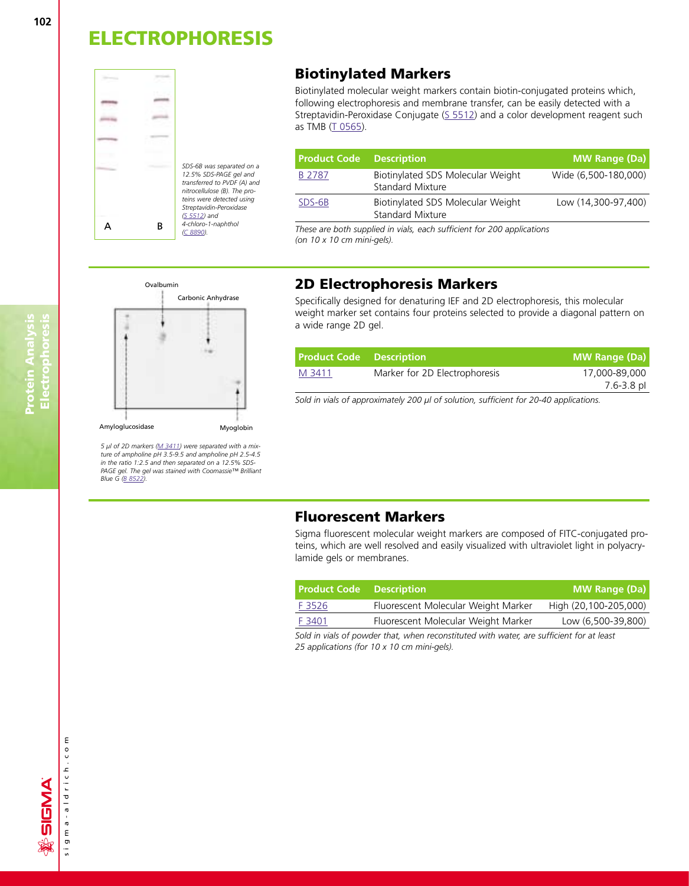

### **Biotinylated Markers**

Biotinylated molecular weight markers contain biotin-conjugated proteins which, following electrophoresis and membrane transfer, can be easily detected with a Streptavidin-Peroxidase Conjugate  $(S 5512)$  and a color development reagent such as TMB [\(T 0565\).](http://www.sigma-aldrich.com/ProductLookup.html?ProdNo=T0565&Brand=SIGMA) 

| <b>Product Code</b> | <b>Description</b>                                           | <b>MW Range (Da)</b> |
|---------------------|--------------------------------------------------------------|----------------------|
| B 2787              | Biotinylated SDS Molecular Weight<br><b>Standard Mixture</b> | Wide (6,500-180,000) |
| SDS-6B              | Biotinylated SDS Molecular Weight<br><b>Standard Mixture</b> | Low (14,300-97,400)  |

*These are both supplied in vials, each sufficient for 200 applications (on 10 x 10 cm mini-gels).*



*5 µl of 2D marker[s \(M 3411\)](http://www.sigma-aldrich.com/ProductLookup.html?ProdNo=M3411&Brand=SIGMA) were separated with a mixture of ampholine pH 3.5-9.5 and ampholine pH 2.5-4.5 in the ratio 1:2.5 and then separated on a 12.5% SDS-PAGE gel. The gel was stained with Coomassie™ Brilliant Blue [G \(B 8522\).](http://www.sigma-aldrich.com/ProductLookup.html?ProdNo=B8522&Brand=SIGMA)*

### **2D Electrophoresis Markers**

Specifically designed for denaturing IEF and 2D electrophoresis, this molecular weight marker set contains four proteins selected to provide a diagonal pattern on a wide range 2D gel.

| <b>Product Code</b> Description |                               | <b>MW Range (Da)</b> |
|---------------------------------|-------------------------------|----------------------|
| M 3411                          | Marker for 2D Electrophoresis | 17,000-89,000        |
|                                 |                               | 7.6-3.8 pl           |

*Sold in vials of approximately 200 µl of solution, sufficient for 20-40 applications.*

### **Fluorescent Markers**

Sigma fluorescent molecular weight markers are composed of FITC-conjugated proteins, which are well resolved and easily visualized with ultraviolet light in polyacrylamide gels or membranes.

| <b>Product Code</b> Description |                                     | <b>MW Range (Da)</b>  |
|---------------------------------|-------------------------------------|-----------------------|
| <u>F 3526</u>                   | Fluorescent Molecular Weight Marker | High (20,100-205,000) |
| F 3401                          | Fluorescent Molecular Weight Marker | Low (6,500-39,800)    |

*Sold in vials of powder that, when reconstituted with water, are sufficient for at least 25 applications (for 10 x 10 cm mini-gels).*

**Protein Analysis Electrophoresis**

**Protein Analysis<br>Electrophoresis** 

sigma-aldrich.com

sigma-aldrich.co

ε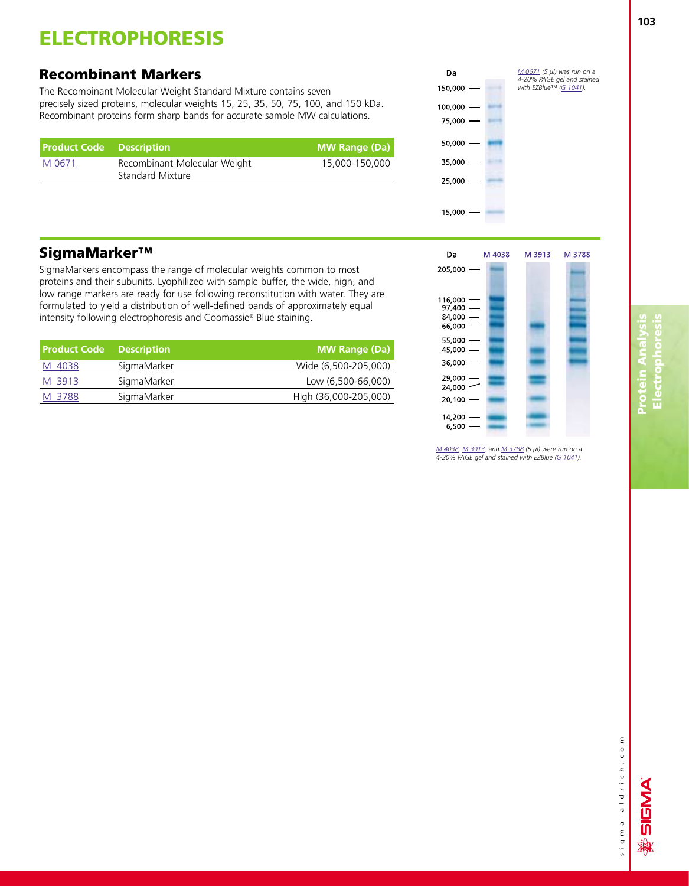### **Recombinant Markers**

The Recombinant Molecular Weight Standard Mixture contains seven precisely sized proteins, molecular weights 15, 25, 35, 50, 75, 100, and 150 kDa. Recombinant proteins form sharp bands for accurate sample MW calculations.

| <b>Product Code</b> Description |                                                  | <b>MW Range (Da)</b> |
|---------------------------------|--------------------------------------------------|----------------------|
| M 0671                          | Recombinant Molecular Weight<br>Standard Mixture | 15,000-150,000       |



## **SigmaMarker™**

SigmaMarkers encompass the range of molecular weights common to most proteins and their subunits. Lyophilized with sample buffer, the wide, high, and low range markers are ready for use following reconstitution with water. They are formulated to yield a distribution of well-defined bands of approximately equal intensity following electrophoresis and Coomassie® Blue staining.

| <b>Product Code Description</b> |             | <b>MW Range (Da)</b>  |
|---------------------------------|-------------|-----------------------|
| M 4038                          | SigmaMarker | Wide (6,500-205,000)  |
| M 3913                          | SigmaMarker | Low (6,500-66,000)    |
| M 3788                          | SigmaMarker | High (36,000-205,000) |

| Da<br>205,000                                 | M 4038 | M 3913 | M 3788 |
|-----------------------------------------------|--------|--------|--------|
| 116,000<br>$97,400 -$<br>$84,000 -$<br>66,000 |        |        |        |
| 55,000<br>45,000<br>36,000                    | ▃      |        |        |
| 29,000<br>24,000<br>20,100                    |        |        |        |
| 14,200<br>6,500                               |        |        |        |

*[M 4038,](http://www.sigma-aldrich.com/ProductLookup.html?ProdNo=M4038&Brand=SIGMA) [M 3913,](http://www.sigma-aldrich.com/ProductLookup.html?ProdNo=M3913&Brand=SIGMA) and [M 3788](http://www.sigma-aldrich.com/ProductLookup.html?ProdNo=M3788&Brand=SIGMA) (5 µl) were run on a 4-20% PAGE gel and stained with EZBlue [\(G 1041\).](http://www.sigma-aldrich.com/ProductLookup.html?ProdNo=G1041&Brand=SIGMA)*

sigma-aldrich.com sigma-aldrich.com

SIGMA